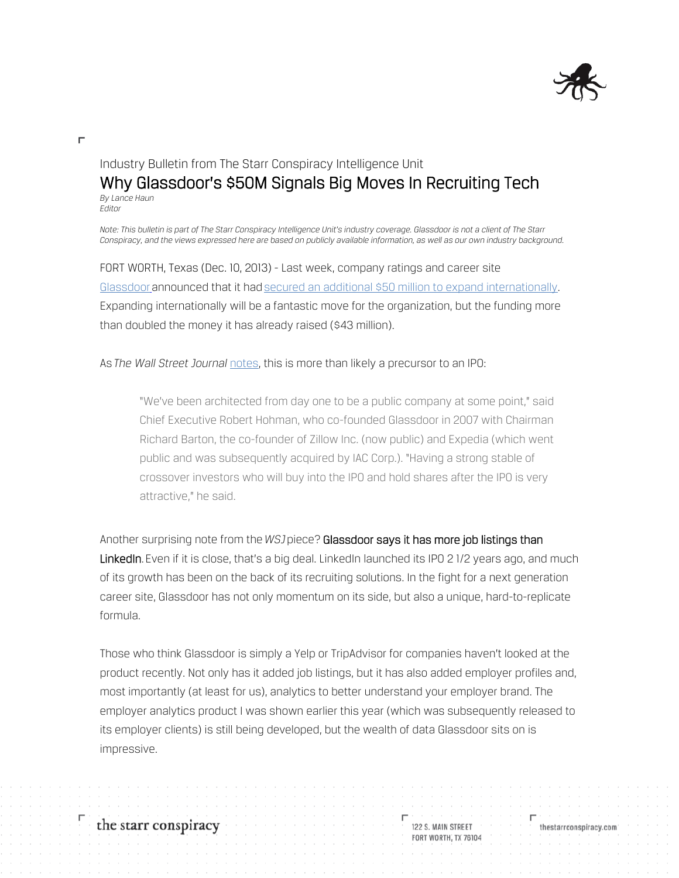

## Industry Bulletin from The Starr Conspiracy Intelligence Unit Why Glassdoor's \$50M Signals Big Moves In Recruiting Tech *By Lance Haun Editor*

*Note: This bulletin is part of The Starr Conspiracy Intelligence Unit's industry coverage. Glassdoor is not a client of The Starr Conspiracy, and the views expressed here are based on publicly available information, as well as our own industry background.*

FORT WORTH, Texas (Dec. 10, 2013) - Last week, company ratings and career site Glassdoor announced that it had secured an additional \$50 million to expand internationally. Expanding internationally will be a fantastic move for the organization, but the funding more than doubled the money it has already raised (\$43 million).

As*The Wall Street Journal* [notes,](http://blogs.wsj.com/venturecapital/2013/12/05/in-another-pre-ipo-bet-by-tiger-global-glassdoor-raises-50-million/) this is more than likely a precursor to an IPO:

"We've been architected from day one to be a public company at some point," said Chief Executive Robert Hohman, who co-founded Glassdoor in 2007 with Chairman Richard Barton, the co-founder of Zillow Inc. (now public) and Expedia (which went public and was subsequently acquired by IAC Corp.). "Having a strong stable of crossover investors who will buy into the IPO and hold shares after the IPO is very attractive," he said.

Another surprising note from the*WSJ*piece? Glassdoor says it has more job listings than LinkedIn. Even if it is close, that's a big deal. LinkedIn launched its IPO 21/2 years ago, and much of its growth has been on the back of its recruiting solutions. In the fight for a next generation career site, Glassdoor has not only momentum on its side, but also a unique, hard-to-replicate formula.

Those who think Glassdoor is simply a Yelp or TripAdvisor for companies haven't looked at the product recently. Not only has it added job listings, but it has also added employer profiles and, most importantly (at least for us), analytics to better understand your employer brand. The employer analytics product I was shown earlier this year (which was subsequently released to its employer clients) is still being developed, but the wealth of data Glassdoor sits on is impressive.

Н

the starr conspiracy

122 S. MAIN STREET **FORT WORTH, TX 76104**  thestarrconspiracy.com